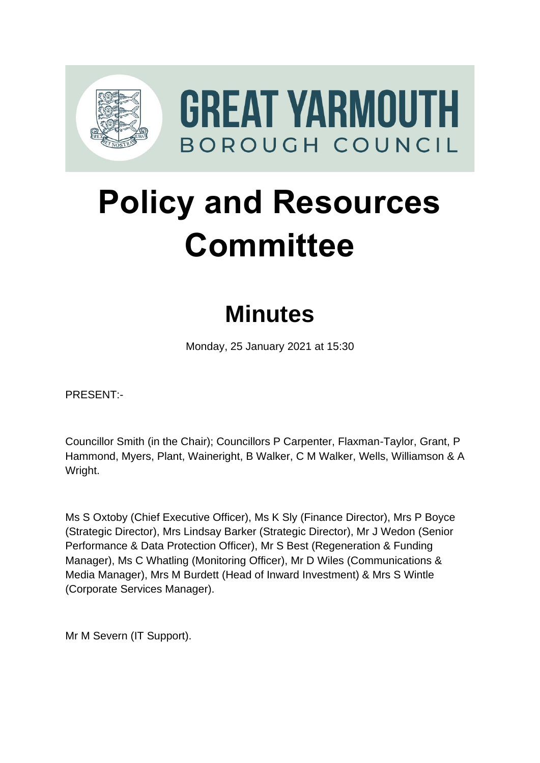

# **Policy and Resources Committee**

# **Minutes**

Monday, 25 January 2021 at 15:30

PRESENT:-

Councillor Smith (in the Chair); Councillors P Carpenter, Flaxman-Taylor, Grant, P Hammond, Myers, Plant, Waineright, B Walker, C M Walker, Wells, Williamson & A Wright.

Ms S Oxtoby (Chief Executive Officer), Ms K Sly (Finance Director), Mrs P Boyce (Strategic Director), Mrs Lindsay Barker (Strategic Director), Mr J Wedon (Senior Performance & Data Protection Officer), Mr S Best (Regeneration & Funding Manager), Ms C Whatling (Monitoring Officer), Mr D Wiles (Communications & Media Manager), Mrs M Burdett (Head of Inward Investment) & Mrs S Wintle (Corporate Services Manager).

Mr M Severn (IT Support).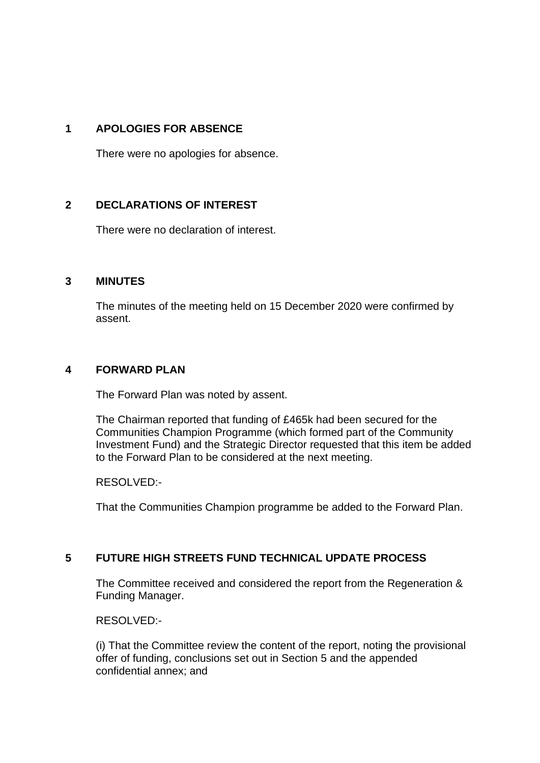# **1 APOLOGIES FOR ABSENCE**

There were no apologies for absence.

### **2 DECLARATIONS OF INTEREST** 2

There were no declaration of interest.

#### **3 MINUTES** 3

The minutes of the meeting held on 15 December 2020 were confirmed by assent.

#### **4 FORWARD PLAN** 4

The Forward Plan was noted by assent.

The Chairman reported that funding of £465k had been secured for the Communities Champion Programme (which formed part of the Community Investment Fund) and the Strategic Director requested that this item be added to the Forward Plan to be considered at the next meeting.

RESOLVED:-

That the Communities Champion programme be added to the Forward Plan.

# **5** FUTURE HIGH STREETS FUND TECHNICAL UPDATE PROCESS

The Committee received and considered the report from the Regeneration & Funding Manager.

RESOLVED:-

(i) That the Committee review the content of the report, noting the provisional offer of funding, conclusions set out in Section 5 and the appended confidential annex; and